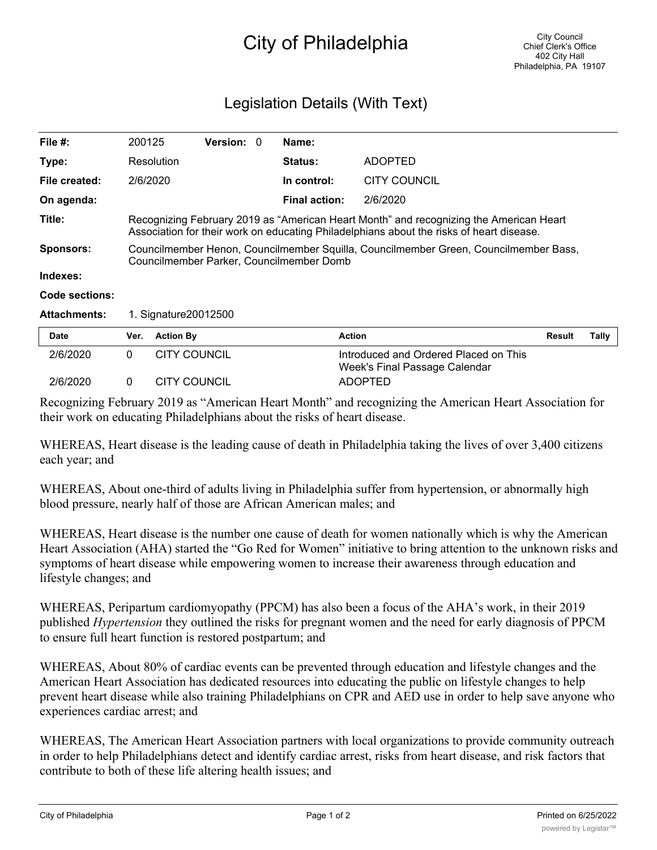## City of Philadelphia

## Legislation Details (With Text)

| File $#$ :          | 200125                                                                                                                                                                             |                     | <b>Version: 0</b> |  | Name:                |                                                                        |               |       |
|---------------------|------------------------------------------------------------------------------------------------------------------------------------------------------------------------------------|---------------------|-------------------|--|----------------------|------------------------------------------------------------------------|---------------|-------|
| Type:               |                                                                                                                                                                                    | Resolution          |                   |  | <b>Status:</b>       | <b>ADOPTED</b>                                                         |               |       |
| File created:       |                                                                                                                                                                                    | 2/6/2020            |                   |  | In control:          | CITY COUNCIL                                                           |               |       |
| On agenda:          |                                                                                                                                                                                    |                     |                   |  | <b>Final action:</b> | 2/6/2020                                                               |               |       |
| Title:              | Recognizing February 2019 as "American Heart Month" and recognizing the American Heart<br>Association for their work on educating Philadelphians about the risks of heart disease. |                     |                   |  |                      |                                                                        |               |       |
| <b>Sponsors:</b>    | Councilmember Henon, Councilmember Squilla, Councilmember Green, Councilmember Bass,<br>Councilmember Parker, Councilmember Domb                                                   |                     |                   |  |                      |                                                                        |               |       |
| Indexes:            |                                                                                                                                                                                    |                     |                   |  |                      |                                                                        |               |       |
| Code sections:      |                                                                                                                                                                                    |                     |                   |  |                      |                                                                        |               |       |
| <b>Attachments:</b> | 1. Signature 2001 2500                                                                                                                                                             |                     |                   |  |                      |                                                                        |               |       |
| <b>Date</b>         | Ver.                                                                                                                                                                               | <b>Action By</b>    |                   |  | <b>Action</b>        |                                                                        | <b>Result</b> | Tally |
| 2/6/2020            | $\Omega$                                                                                                                                                                           | <b>CITY COUNCIL</b> |                   |  |                      | Introduced and Ordered Placed on This<br>Week's Final Passage Calendar |               |       |
| 2/6/2020            | 0                                                                                                                                                                                  | <b>CITY COUNCIL</b> |                   |  |                      | <b>ADOPTED</b>                                                         |               |       |

Recognizing February 2019 as "American Heart Month" and recognizing the American Heart Association for their work on educating Philadelphians about the risks of heart disease.

WHEREAS, Heart disease is the leading cause of death in Philadelphia taking the lives of over 3,400 citizens each year; and

WHEREAS, About one-third of adults living in Philadelphia suffer from hypertension, or abnormally high blood pressure, nearly half of those are African American males; and

WHEREAS, Heart disease is the number one cause of death for women nationally which is why the American Heart Association (AHA) started the "Go Red for Women" initiative to bring attention to the unknown risks and symptoms of heart disease while empowering women to increase their awareness through education and lifestyle changes; and

WHEREAS, Peripartum cardiomyopathy (PPCM) has also been a focus of the AHA's work, in their 2019 published *Hypertension* they outlined the risks for pregnant women and the need for early diagnosis of PPCM to ensure full heart function is restored postpartum; and

WHEREAS, About 80% of cardiac events can be prevented through education and lifestyle changes and the American Heart Association has dedicated resources into educating the public on lifestyle changes to help prevent heart disease while also training Philadelphians on CPR and AED use in order to help save anyone who experiences cardiac arrest; and

WHEREAS, The American Heart Association partners with local organizations to provide community outreach in order to help Philadelphians detect and identify cardiac arrest, risks from heart disease, and risk factors that contribute to both of these life altering health issues; and